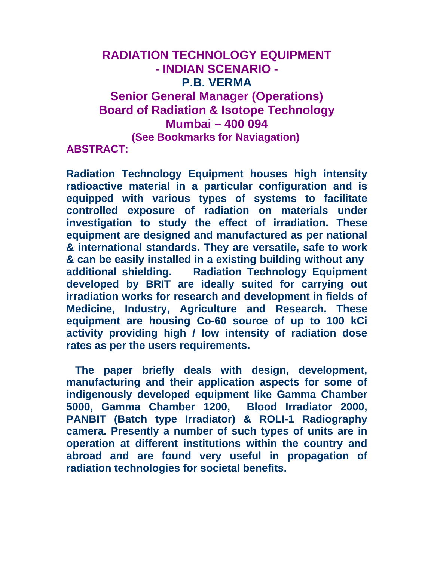# **RADIATION TECHNOLOGY EQUIPMENT - INDIAN SCENARIO - P.B. VERMA Senior General Manager (Operations) Board of Radiation & Isotope Technology Mumbai – 400 094 (See Bookmarks for Naviagation) ABSTRACT:**

**Radiation Technology Equipment houses high intensity radioactive material in a particular configuration and is equipped with various types of systems to facilitate controlled exposure of radiation on materials under investigation to study the effect of irradiation. These equipment are designed and manufactured as per national & international standards. They are versatile, safe to work & can be easily installed in a existing building without any additional shielding. Radiation Technology Equipment developed by BRIT are ideally suited for carrying out irradiation works for research and development in fields of Medicine, Industry, Agriculture and Research. These equipment are housing Co-60 source of up to 100 kCi activity providing high / low intensity of radiation dose rates as per the users requirements.** 

 **The paper briefly deals with design, development, manufacturing and their application aspects for some of indigenously developed equipment like Gamma Chamber 5000, Gamma Chamber 1200, Blood Irradiator 2000, PANBIT (Batch type Irradiator) & ROLI-1 Radiography camera. Presently a number of such types of units are in operation at different institutions within the country and abroad and are found very useful in propagation of radiation technologies for societal benefits.**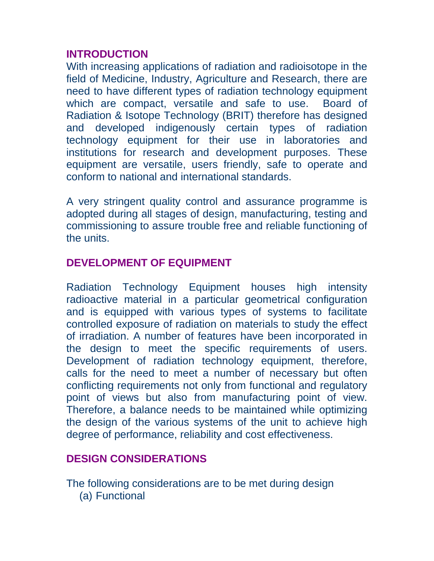#### **INTRODUCTION**

With increasing applications of radiation and radioisotope in the field of Medicine, Industry, Agriculture and Research, there are need to have different types of radiation technology equipment which are compact, versatile and safe to use. Board of Radiation & Isotope Technology (BRIT) therefore has designed and developed indigenously certain types of radiation technology equipment for their use in laboratories and institutions for research and development purposes. These equipment are versatile, users friendly, safe to operate and conform to national and international standards.

A very stringent quality control and assurance programme is adopted during all stages of design, manufacturing, testing and commissioning to assure trouble free and reliable functioning of the units.

# **DEVELOPMENT OF EQUIPMENT**

Radiation Technology Equipment houses high intensity radioactive material in a particular geometrical configuration and is equipped with various types of systems to facilitate controlled exposure of radiation on materials to study the effect of irradiation. A number of features have been incorporated in the design to meet the specific requirements of users. Development of radiation technology equipment, therefore, calls for the need to meet a number of necessary but often conflicting requirements not only from functional and regulatory point of views but also from manufacturing point of view. Therefore, a balance needs to be maintained while optimizing the design of the various systems of the unit to achieve high degree of performance, reliability and cost effectiveness.

# **DESIGN CONSIDERATIONS**

The following considerations are to be met during design (a) Functional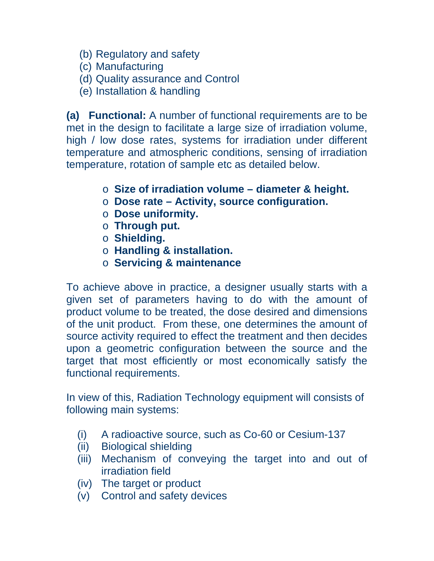- (b) Regulatory and safety
- (c) Manufacturing
- (d) Quality assurance and Control
- (e) Installation & handling

**(a) Functional:** A number of functional requirements are to be met in the design to facilitate a large size of irradiation volume, high / low dose rates, systems for irradiation under different temperature and atmospheric conditions, sensing of irradiation temperature, rotation of sample etc as detailed below.

- o **Size of irradiation volume diameter & height.**
- o **Dose rate Activity, source configuration.**
- o **Dose uniformity.**
- o **Through put.**
- o **Shielding.**
- o **Handling & installation.**
- o **Servicing & maintenance**

To achieve above in practice, a designer usually starts with a given set of parameters having to do with the amount of product volume to be treated, the dose desired and dimensions of the unit product. From these, one determines the amount of source activity required to effect the treatment and then decides upon a geometric configuration between the source and the target that most efficiently or most economically satisfy the functional requirements.

In view of this, Radiation Technology equipment will consists of following main systems:

- (i) A radioactive source, such as Co-60 or Cesium-137
- (ii) Biological shielding
- (iii) Mechanism of conveying the target into and out of irradiation field
- (iv) The target or product
- (v) Control and safety devices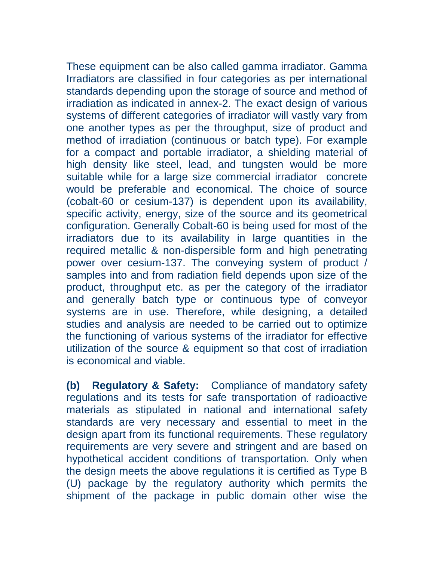These equipment can be also called gamma irradiator. Gamma Irradiators are classified in four categories as per international standards depending upon the storage of source and method of irradiation as indicated in annex-2. The exact design of various systems of different categories of irradiator will vastly vary from one another types as per the throughput, size of product and method of irradiation (continuous or batch type). For example for a compact and portable irradiator, a shielding material of high density like steel, lead, and tungsten would be more suitable while for a large size commercial irradiator concrete would be preferable and economical. The choice of source (cobalt-60 or cesium-137) is dependent upon its availability, specific activity, energy, size of the source and its geometrical configuration. Generally Cobalt-60 is being used for most of the irradiators due to its availability in large quantities in the required metallic & non-dispersible form and high penetrating power over cesium-137. The conveying system of product / samples into and from radiation field depends upon size of the product, throughput etc. as per the category of the irradiator and generally batch type or continuous type of conveyor systems are in use. Therefore, while designing, a detailed studies and analysis are needed to be carried out to optimize the functioning of various systems of the irradiator for effective utilization of the source & equipment so that cost of irradiation is economical and viable.

**(b) Regulatory & Safety:** Compliance of mandatory safety regulations and its tests for safe transportation of radioactive materials as stipulated in national and international safety standards are very necessary and essential to meet in the design apart from its functional requirements. These regulatory requirements are very severe and stringent and are based on hypothetical accident conditions of transportation. Only when the design meets the above regulations it is certified as Type B (U) package by the regulatory authority which permits the shipment of the package in public domain other wise the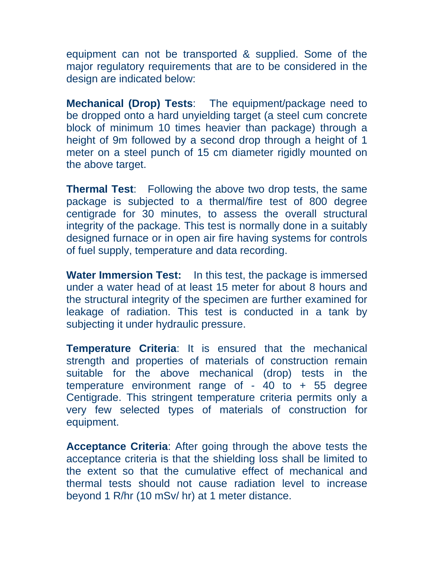equipment can not be transported & supplied. Some of the major regulatory requirements that are to be considered in the design are indicated below:

**Mechanical (Drop) Tests**: The equipment/package need to be dropped onto a hard unyielding target (a steel cum concrete block of minimum 10 times heavier than package) through a height of 9m followed by a second drop through a height of 1 meter on a steel punch of 15 cm diameter rigidly mounted on the above target.

**Thermal Test**: Following the above two drop tests, the same package is subjected to a thermal/fire test of 800 degree centigrade for 30 minutes, to assess the overall structural integrity of the package. This test is normally done in a suitably designed furnace or in open air fire having systems for controls of fuel supply, temperature and data recording.

**Water Immersion Test:** In this test, the package is immersed under a water head of at least 15 meter for about 8 hours and the structural integrity of the specimen are further examined for leakage of radiation. This test is conducted in a tank by subjecting it under hydraulic pressure.

**Temperature Criteria**: It is ensured that the mechanical strength and properties of materials of construction remain suitable for the above mechanical (drop) tests in the temperature environment range of  $-40$  to  $+55$  degree Centigrade. This stringent temperature criteria permits only a very few selected types of materials of construction for equipment.

**Acceptance Criteria**: After going through the above tests the acceptance criteria is that the shielding loss shall be limited to the extent so that the cumulative effect of mechanical and thermal tests should not cause radiation level to increase beyond 1 R/hr (10 mSv/ hr) at 1 meter distance.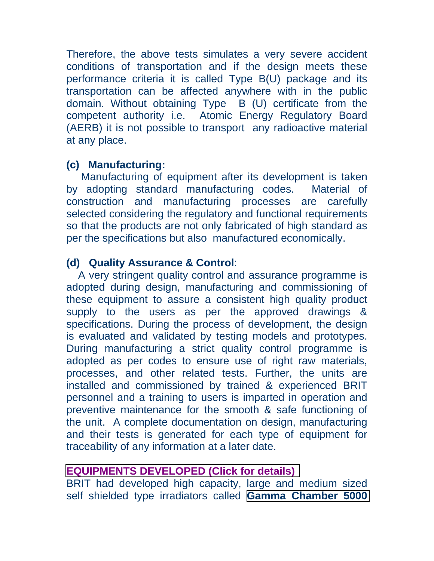Therefore, the above tests simulates a very severe accident conditions of transportation and if the design meets these performance criteria it is called Type B(U) package and its transportation can be affected anywhere with in the public domain. Without obtaining Type B (U) certificate from the competent authority i.e. Atomic Energy Regulatory Board (AERB) it is not possible to transport any radioactive material at any place.

### **(c) Manufacturing:**

 Manufacturing of equipment after its development is taken by adopting standard manufacturing codes. Material of construction and manufacturing processes are carefully selected considering the regulatory and functional requirements so that the products are not only fabricated of high standard as per the specifications but also manufactured economically.

# **(d) Quality Assurance & Control**:

 A very stringent quality control and assurance programme is adopted during design, manufacturing and commissioning of these equipment to assure a consistent high quality product supply to the users as per the approved drawings & specifications. During the process of development, the design is evaluated and validated by testing models and prototypes. During manufacturing a strict quality control programme is adopted as per codes to ensure use of right raw materials, processes, and other related tests. Further, the units are installed and commissioned by trained & experienced BRIT personnel and a training to users is imparted in operation and preventive maintenance for the smooth & safe functioning of the unit. A complete documentation on design, manufacturing and their tests is generated for each type of equipment for traceability of any information at a later date.

# **[EQUIPMENTS DEVELOPED](http://www.britatom.gov.in/docs/pdf/RTE_Table.pdf) (Click for details)**

BRIT had developed high capacity, large and medium sized self shielded type irradiators called **[Gamma Chamber 5000](http://www.britatom.gov.in/htmldocs/products06b.html)**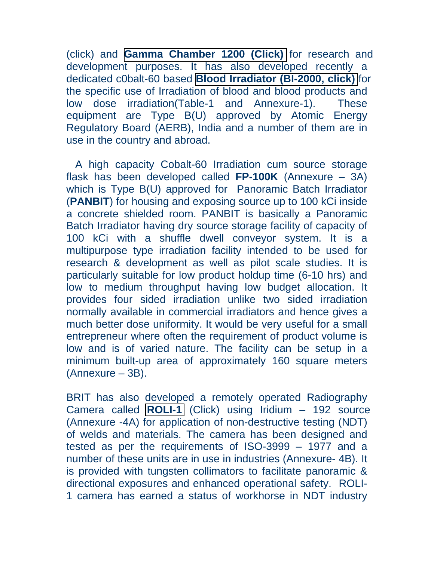(click) and **[Gamma Chamber 1200](http://www.britatom.gov.in/htmldocs/products06c.html) (Click)** for research and development purposes. It has also developed recently a dedicated c0balt-60 based **[Blood Irradiator \(BI-2000,](http://www.britatom.gov.in/htmldocs/products06d.html) click)** for the specific use of Irradiation of blood and blood products and low dose irradiation(Table-1 and Annexure-1). These equipment are Type B(U) approved by Atomic Energy Regulatory Board (AERB), India and a number of them are in use in the country and abroad.

 A high capacity Cobalt-60 Irradiation cum source storage flask has been developed called **FP-100K** (Annexure – 3A) which is Type B(U) approved for Panoramic Batch Irradiator (**PANBIT**) for housing and exposing source up to 100 kCi inside a concrete shielded room. PANBIT is basically a Panoramic Batch Irradiator having dry source storage facility of capacity of 100 kCi with a shuffle dwell conveyor system. It is a multipurpose type irradiation facility intended to be used for research & development as well as pilot scale studies. It is particularly suitable for low product holdup time (6-10 hrs) and low to medium throughput having low budget allocation. It provides four sided irradiation unlike two sided irradiation normally available in commercial irradiators and hence gives a much better dose uniformity. It would be very useful for a small entrepreneur where often the requirement of product volume is low and is of varied nature. The facility can be setup in a minimum built-up area of approximately 160 square meters (Annexure – 3B).

BRIT has also developed a remotely operated Radiography Camera called **[ROLI-1](http://www.britatom.gov.in/htmldocs/products06a.html)** (Click) using Iridium – 192 source (Annexure -4A) for application of non-destructive testing (NDT) of welds and materials. The camera has been designed and tested as per the requirements of ISO-3999 – 1977 and a number of these units are in use in industries (Annexure- 4B). It is provided with tungsten collimators to facilitate panoramic & directional exposures and enhanced operational safety. ROLI-1 camera has earned a status of workhorse in NDT industry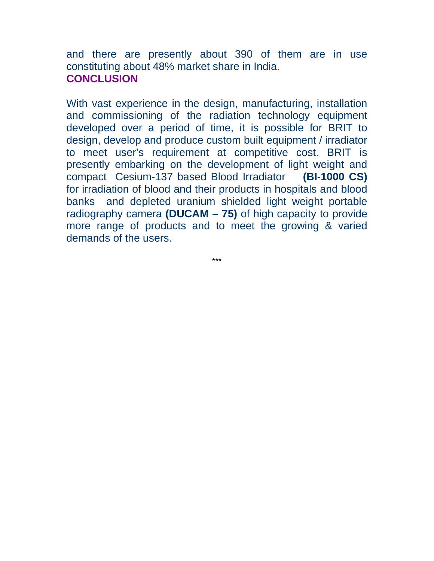and there are presently about 390 of them are in use constituting about 48% market share in India. **CONCLUSION** 

With vast experience in the design, manufacturing, installation and commissioning of the radiation technology equipment developed over a period of time, it is possible for BRIT to design, develop and produce custom built equipment / irradiator to meet user's requirement at competitive cost. BRIT is presently embarking on the development of light weight and compact Cesium-137 based Blood Irradiator **(BI-1000 CS)** for irradiation of blood and their products in hospitals and blood banks and depleted uranium shielded light weight portable radiography camera **(DUCAM – 75)** of high capacity to provide more range of products and to meet the growing & varied demands of the users.

\*\*\*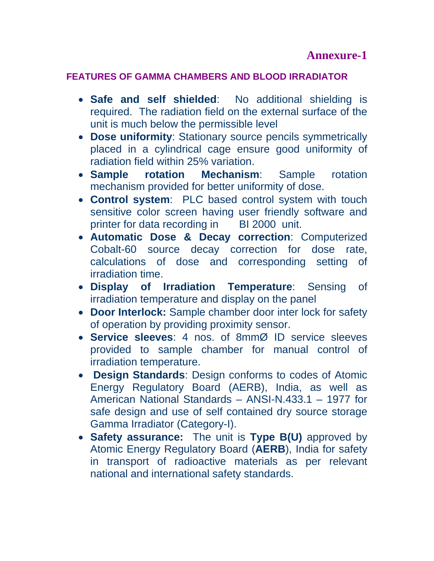#### **FEATURES OF GAMMA CHAMBERS AND BLOOD IRRADIATOR**

- **Safe and self shielded**: No additional shielding is required. The radiation field on the external surface of the unit is much below the permissible level
- **Dose uniformity**: Stationary source pencils symmetrically placed in a cylindrical cage ensure good uniformity of radiation field within 25% variation.
- **Sample rotation Mechanism**: Sample rotation mechanism provided for better uniformity of dose.
- **Control system**: PLC based control system with touch sensitive color screen having user friendly software and printer for data recording in BI 2000 unit.
- **Automatic Dose & Decay correction**: Computerized Cobalt-60 source decay correction for dose rate, calculations of dose and corresponding setting of irradiation time.
- **Display of Irradiation Temperature**: Sensing of irradiation temperature and display on the panel
- **Door Interlock:** Sample chamber door inter lock for safety of operation by providing proximity sensor.
- **Service sleeves**: 4 nos. of 8mmØ ID service sleeves provided to sample chamber for manual control of irradiation temperature.
- • **Design Standards**: Design conforms to codes of Atomic Energy Regulatory Board (AERB), India, as well as American National Standards – ANSI-N.433.1 – 1977 for safe design and use of self contained dry source storage Gamma Irradiator (Category-I).
- **Safety assurance:** The unit is **Type B(U)** approved by Atomic Energy Regulatory Board (**AERB**), India for safety in transport of radioactive materials as per relevant national and international safety standards.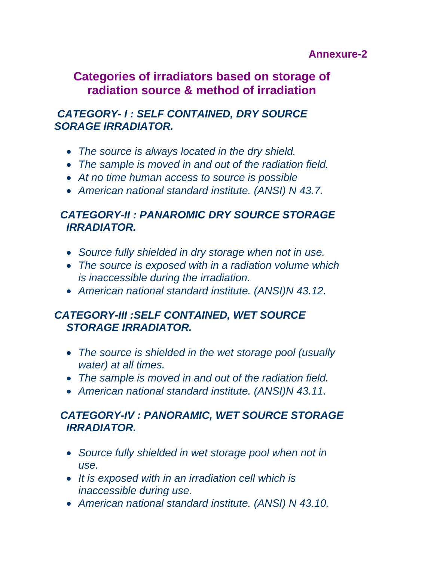## **Annexure-2**

# **Categories of irradiators based on storage of radiation source & method of irradiation**

# *CATEGORY- I : SELF CONTAINED, DRY SOURCE SORAGE IRRADIATOR.*

- *The source is always located in the dry shield.*
- *The sample is moved in and out of the radiation field.*
- *At no time human access to source is possible*
- *American national standard institute. (ANSI) N 43.7.*

# *CATEGORY-II : PANAROMIC DRY SOURCE STORAGE IRRADIATOR.*

- *Source fully shielded in dry storage when not in use.*
- *The source is exposed with in a radiation volume which is inaccessible during the irradiation.*
- *American national standard institute. (ANSI)N 43.12.*

# *CATEGORY-III :SELF CONTAINED, WET SOURCE STORAGE IRRADIATOR.*

- *The source is shielded in the wet storage pool (usually water) at all times.*
- *The sample is moved in and out of the radiation field.*
- *American national standard institute. (ANSI)N 43.11.*

# *CATEGORY-IV : PANORAMIC, WET SOURCE STORAGE IRRADIATOR.*

- *Source fully shielded in wet storage pool when not in use.*
- *It is exposed with in an irradiation cell which is inaccessible during use.*
- *American national standard institute. (ANSI) N 43.10.*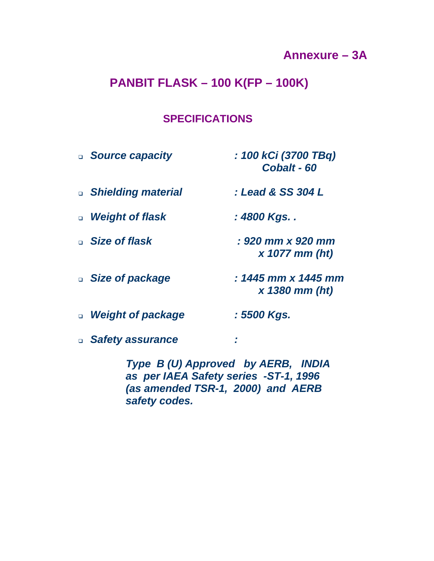# **Annexure – 3A**

# **PANBIT FLASK – 100 K(FP – 100K)**

#### **SPECIFICATIONS**

| <b>Source capacity</b> | : 100 kCi (3700 TBq)<br>Cobalt - 60     |
|------------------------|-----------------------------------------|
| □ Shielding material   | : Lead & SS 304 L                       |
| □ Weight of flask      | : 4800 Kgs. .                           |
| □ Size of flask        | : 920 mm x 920 mm<br>$x$ 1077 mm (ht)   |
| □ Size of package      | : 1445 mm x 1445 mm<br>$x$ 1380 mm (ht) |
| □ Weight of package    | : 5500 Kgs.                             |
| □ Safety assurance     |                                         |

 *Type B (U) Approved by AERB, INDIA as per IAEA Safety series -ST-1, 1996 (as amended TSR-1, 2000) and AERB safety codes.*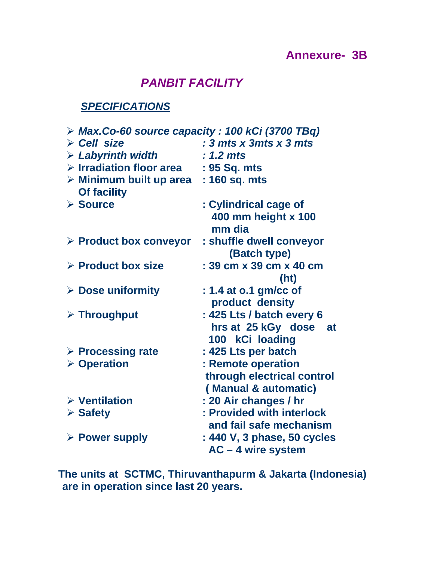# **Annexure- 3B**

# *PANBIT FACILITY*

# *SPECIFICATIONS*

| $\triangleright$ Max.Co-60 source capacity : 100 kCi (3700 TBq) |                                                             |  |  |  |
|-----------------------------------------------------------------|-------------------------------------------------------------|--|--|--|
| $\triangleright$ Cell size                                      | : $3 \text{ mts} \times 3 \text{ mts} \times 3 \text{ mts}$ |  |  |  |
| $\triangleright$ Labyrinth width                                | $: 1.2$ mts                                                 |  |  |  |
| $\triangleright$ Irradiation floor area                         | : 95 Sq. mts                                                |  |  |  |
| $\triangleright$ Minimum built up area<br><b>Of facility</b>    | : 160 sq. mts                                               |  |  |  |
| $\triangleright$ Source                                         | : Cylindrical cage of                                       |  |  |  |
|                                                                 | 400 mm height x 100<br>mm dia                               |  |  |  |
| $\triangleright$ Product box conveyor                           | : shuffle dwell conveyor<br>(Batch type)                    |  |  |  |
| $\triangleright$ Product box size                               | : 39 cm x 39 cm x 40 cm                                     |  |  |  |
|                                                                 | (h <sub>t</sub> )                                           |  |  |  |
| $\triangleright$ Dose uniformity                                | : 1.4 at o.1 gm/cc of<br>product density                    |  |  |  |
| $\triangleright$ Throughput                                     | : 425 Lts / batch every 6                                   |  |  |  |
|                                                                 | hrs at 25 kGy dose at<br>100 kCi loading                    |  |  |  |
| $\triangleright$ Processing rate                                | : 425 Lts per batch                                         |  |  |  |
| $\triangleright$ Operation                                      | : Remote operation                                          |  |  |  |
|                                                                 | through electrical control                                  |  |  |  |
|                                                                 | (Manual & automatic)                                        |  |  |  |
| $\triangleright$ Ventilation                                    | : 20 Air changes / hr                                       |  |  |  |
| $\triangleright$ Safety                                         | : Provided with interlock                                   |  |  |  |
|                                                                 | and fail safe mechanism                                     |  |  |  |
| $\triangleright$ Power supply                                   | : 440 V, 3 phase, 50 cycles<br>AC - 4 wire system           |  |  |  |

**The units at SCTMC, Thiruvanthapurm & Jakarta (Indonesia) are in operation since last 20 years.**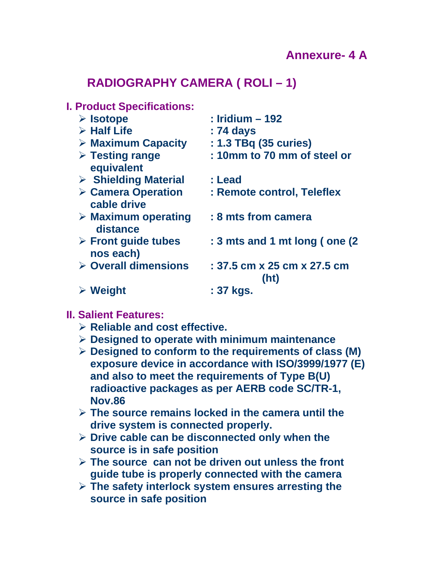# **RADIOGRAPHY CAMERA ( ROLI – 1)**

#### **I. Product Specifications:**

| $\triangleright$ Isotope                         | $:$ Iridium $-192$                  |
|--------------------------------------------------|-------------------------------------|
| $\triangleright$ Half Life                       | : 74 days                           |
| $\triangleright$ Maximum Capacity                | : 1.3 TBq (35 curies)               |
| $\triangleright$ Testing range<br>equivalent     | : 10mm to 70 mm of steel or         |
| $\triangleright$ Shielding Material              | : Lead                              |
| $\triangleright$ Camera Operation<br>cable drive | : Remote control, Teleflex          |
| $\triangleright$ Maximum operating<br>distance   | : 8 mts from camera                 |
| $\triangleright$ Front guide tubes<br>nos each)  | : 3 mts and 1 mt long (one (2)      |
| $\triangleright$ Overall dimensions              | : 37.5 cm x 25 cm x 27.5 cm<br>(ht) |
| $\triangleright$ Weight                          | : 37 kgs.                           |

#### **II. Salient Features:**

- ¾ **Reliable and cost effective.**
- ¾ **Designed to operate with minimum maintenance**
- ¾ **Designed to conform to the requirements of class (M) exposure device in accordance with ISO/3999/1977 (E) and also to meet the requirements of Type B(U) radioactive packages as per AERB code SC/TR-1, Nov.86**
- ¾ **The source remains locked in the camera until the drive system is connected properly.**
- ¾ **Drive cable can be disconnected only when the source is in safe position**
- ¾ **The source can not be driven out unless the front guide tube is properly connected with the camera**
- ¾ **The safety interlock system ensures arresting the source in safe position**